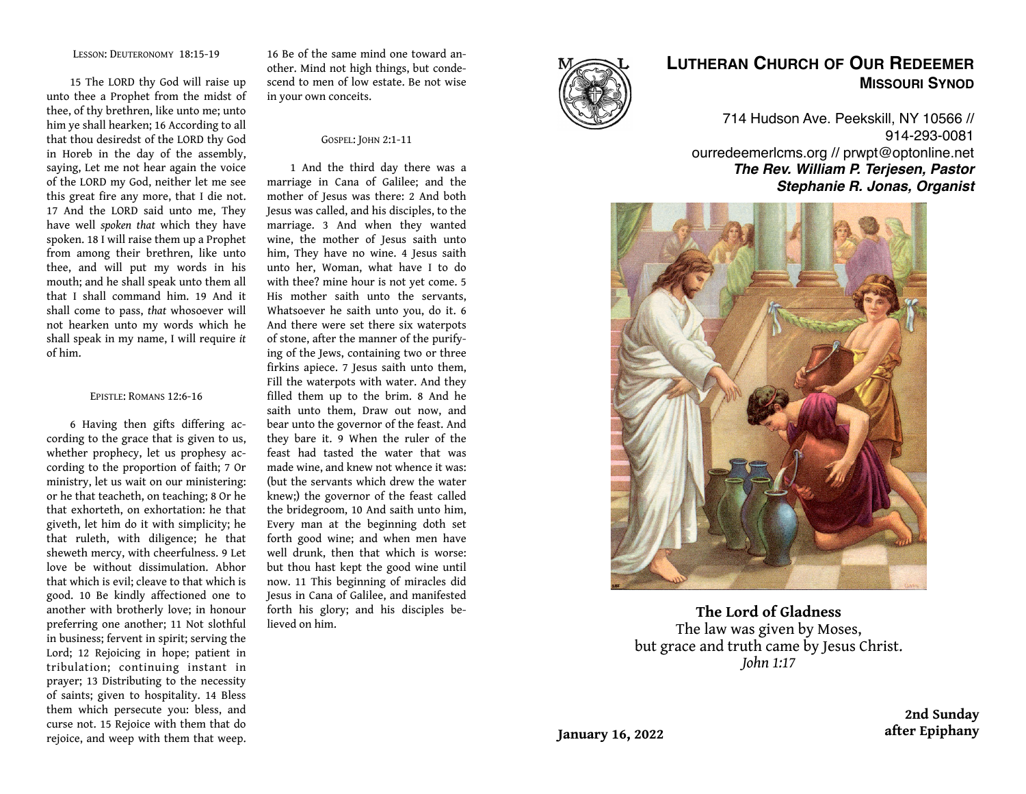#### LESSON: DEUTERONOMY 18:15-19

15 The LORD thy God will raise up unto thee a Prophet from the midst of thee, of thy brethren, like unto me; unto him ye shall hearken; 16 According to all that thou desiredst of the LORD thy God in Horeb in the day of the assembly, saying, Let me not hear again the voice of the LORD my God, neither let me see this great fire any more, that I die not. 17 And the LORD said unto me, They have well *spoken that* which they have spoken. 18 I will raise them up a Prophet from among their brethren, like unto thee, and will put my words in his mouth; and he shall speak unto them all that I shall command him. 19 And it shall come to pass, *that* whosoever will not hearken unto my words which he shall speak in my name, I will require *it*  of him.

#### EPISTLE: ROMANS 12:6-16

6 Having then gifts differing according to the grace that is given to us, whether prophecy, let us prophesy according to the proportion of faith; 7 Or ministry, let us wait on our ministering: or he that teacheth, on teaching; 8 Or he that exhorteth, on exhortation: he that giveth, let him do it with simplicity; he that ruleth, with diligence; he that sheweth mercy, with cheerfulness. 9 Let love be without dissimulation. Abhor that which is evil; cleave to that which is good. 10 Be kindly affectioned one to another with brotherly love; in honour preferring one another; 11 Not slothful in business; fervent in spirit; serving the Lord; 12 Rejoicing in hope; patient in tribulation; continuing instant in prayer; 13 Distributing to the necessity of saints; given to hospitality. 14 Bless them which persecute you: bless, and curse not. 15 Rejoice with them that do rejoice, and weep with them that weep.

16 Be of the same mind one toward another. Mind not high things, but condescend to men of low estate. Be not wise in your own conceits.

#### GOSPEL: JOHN 2:1-11

1 And the third day there was a marriage in Cana of Galilee; and the mother of Jesus was there: 2 And both Jesus was called, and his disciples, to the marriage. 3 And when they wanted wine, the mother of Jesus saith unto him, They have no wine. 4 Jesus saith unto her, Woman, what have I to do with thee? mine hour is not yet come. 5 His mother saith unto the servants, Whatsoever he saith unto you, do it. 6 And there were set there six waterpots of stone, after the manner of the purifying of the Jews, containing two or three firkins apiece. 7 Jesus saith unto them, Fill the waterpots with water. And they filled them up to the brim. 8 And he saith unto them, Draw out now, and bear unto the governor of the feast. And they bare it. 9 When the ruler of the feast had tasted the water that was made wine, and knew not whence it was: (but the servants which drew the water knew;) the governor of the feast called the bridegroom, 10 And saith unto him, Every man at the beginning doth set forth good wine; and when men have well drunk, then that which is worse: but thou hast kept the good wine until now. 11 This beginning of miracles did Jesus in Cana of Galilee, and manifested forth his glory; and his disciples believed on him.



# **LUTHERAN CHURCH OF OUR REDEEMER MISSOURI SYNOD**

714 Hudson Ave. Peekskill, NY 10566 // 914-293-0081 ourredeemerlcms.org // prwpt@optonline.net *The Rev. William P. Terjesen, Pastor Stephanie R. Jonas, Organist*



**The Lord of Gladness** The law was given by Moses, but grace and truth came by Jesus Christ. *John 1:17*

> **2nd Sunday after Epiphany**

**January 16, 2022**